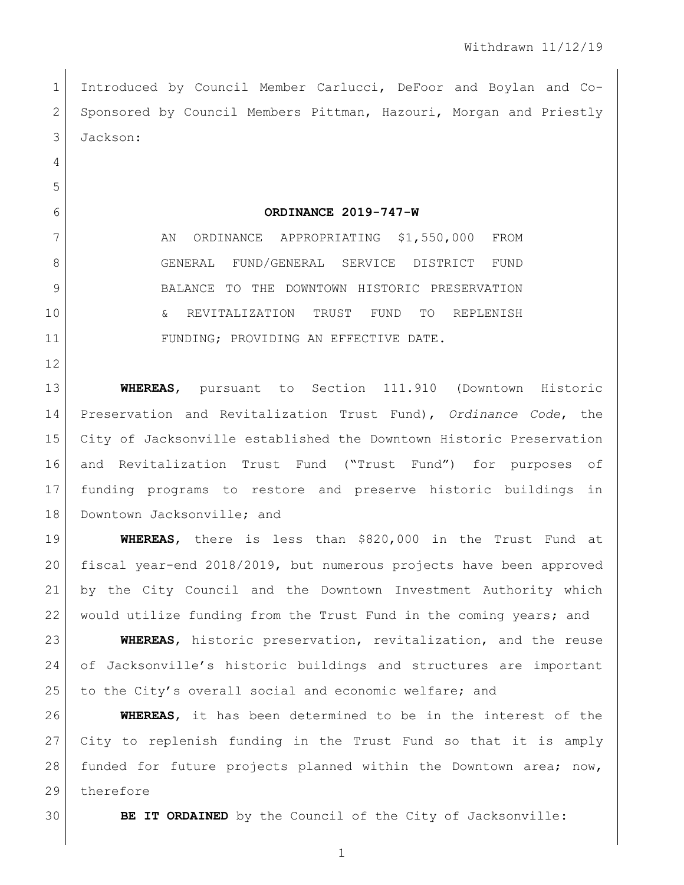Introduced by Council Member Carlucci, DeFoor and Boylan and Co-2 Sponsored by Council Members Pittman, Hazouri, Morgan and Priestly Jackson:

## **ORDINANCE 2019-747-W**

7 AN ORDINANCE APPROPRIATING \$1,550,000 FROM GENERAL FUND/GENERAL SERVICE DISTRICT FUND BALANCE TO THE DOWNTOWN HISTORIC PRESERVATION & REVITALIZATION TRUST FUND TO REPLENISH 11 FUNDING; PROVIDING AN EFFECTIVE DATE.

 **WHEREAS**, pursuant to Section 111.910 (Downtown Historic Preservation and Revitalization Trust Fund), *Ordinance Code*, the City of Jacksonville established the Downtown Historic Preservation and Revitalization Trust Fund ("Trust Fund") for purposes of funding programs to restore and preserve historic buildings in 18 | Downtown Jacksonville; and

 **WHEREAS**, there is less than \$820,000 in the Trust Fund at fiscal year-end 2018/2019, but numerous projects have been approved by the City Council and the Downtown Investment Authority which 22 | would utilize funding from the Trust Fund in the coming years; and

 **WHEREAS**, historic preservation, revitalization, and the reuse of Jacksonville's historic buildings and structures are important to the City's overall social and economic welfare; and

 **WHEREAS**, it has been determined to be in the interest of the City to replenish funding in the Trust Fund so that it is amply funded for future projects planned within the Downtown area; now, 29 therefore

**BE IT ORDAINED** by the Council of the City of Jacksonville: